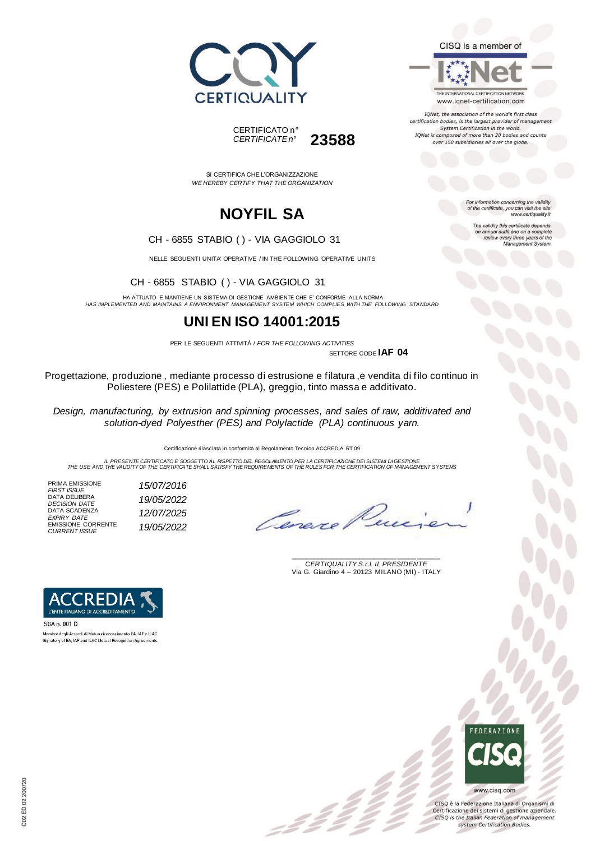



THE INTERNATIONAL CERTIFICATION NETWORK www.iqnet-certification.com

IQNet, the association of the world's first class certification bodies, is the largest provider of manageme System Certification in the world. IQNet is composed of more than 30 bodies and counts over 150 subsidiaries all over the globe.

For information concerning the validity<br>of the certificate, you can visit the site

The validity this certificate depends on annual audit and on a complete<br>review every three years of the<br>Management System.

www.certiquality.it

SI CERTIFICA CHE L'ORGANIZZAZIONE *WE HEREBY CERTIFY THAT THE ORGANIZATION*

CERTIFICATO n°

*CERTIFICATE n°* **23588**

# **NOYFIL SA**

#### CH - 6855 STABIO ( ) - VIA GAGGIOLO 31

NELLE SEGUENTI UNITA' OPERATIVE / IN THE FOLLOWING OPERATIVE UNITS

CH - 6855 STABIO ( ) - VIA GAGGIOLO 31

HA ATTUATO E MANTIENE UN SISTEMA DI GESTIONE AMBIENTE CHE E' CONFORME ALLA NORMA *HAS IMPLEMENTED AND MAINTAINS A ENVIRONMENT MANAGEMENT SYSTEM WHICH COMPLIES WITH THE FOLLOWING STANDARD*

### **UNI EN ISO 14001:2015**

PER LE SEGUENTI ATTIVITÀ / *FOR THE FOLLOWING ACTIVITIES*

SETTORE CODE **IAF 04**

Progettazione, produzione , mediante processo di estrusione e filatura ,e vendita di filo continuo in Poliestere (PES) e Polilattide (PLA), greggio, tinto massa e additivato.

*Design, manufacturing, by extrusion and spinning processes, and sales of raw, additivated and solution-dyed Polyesther (PES) and Polylactide (PLA) continuous yarn.*

Certificazione rilasciata in conformità al Regolamento Tecnico ACCREDIA RT 09

IL PRESENTE CERTIFICATO E SOGGETTO AL RISPETTO DEL REGOLAMENTO PER LA CERTIFICAZIONE DEI SISTEMI DI GESTIONE<br>THE USE AND THE VALIDITY OF THE CERTIFICATE SHALL SATISFY THE REQUIREMENTS OF THE RULES FOR THE CERTIFICATION OF

 $\mathcal{L}$ 

PRIMA EMISSIONE *FIRST ISSUE 15/07/2016* DATA DELIBERA *DECISION DATE 19/05/2022* DATA SCADENZA *EXPIRY DATE 12/07/2025* EMISSIONE CORRENTE *CURRENT ISSUE 19/05/2022*

Omere

\_\_\_\_\_\_\_\_\_\_\_\_\_\_\_\_\_\_\_\_\_\_\_\_\_\_\_\_\_\_\_\_\_\_\_\_\_\_\_ *CERTIQUALITY S.r.l. IL PRESIDENTE* Via G. Giardino 4 – 20123 MILANO (MI) - ITALY



Membro degli Accordi di Mutuo riconoscimento EA, IAF e ILAC Signatory of EA, IAF and ILAC Mutual Recognition Agreeme



CISQ è la Federazione Italiana di Organismi di Certificazione dei sistemi di gestione aziendale. CISQ is the Italian Federation of management system Certification Bodies.